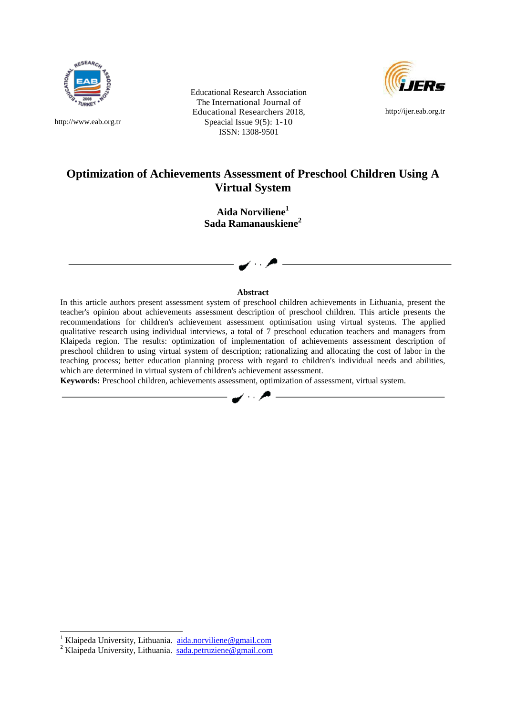

[http://www.eab.org.tr](http://www.eab.org.tr/)

Educational Research Association The International Journal of Educational Researchers 2018, Speacial Issue 9(5): 1-10 ISSN: 1308-9501



[http://ijer.eab.org.tr](http://ijer.eab.org.tr/)

# **Optimization of Achievements Assessment of Preschool Children Using A Virtual System**

**Aida Norviliene<sup>1</sup> Sada Ramanauskiene<sup>2</sup>**

#### **Abstract**

In this article authors present assessment system of preschool children achievements in Lithuania, present the teacher's opinion about achievements assessment description of preschool children. This article presents the recommendations for children's achievement assessment optimisation using virtual systems. The applied qualitative research using individual interviews, a total of 7 preschool education teachers and managers from Klaipeda region. The results: optimization of implementation of achievements assessment description of preschool children to using virtual system of description; rationalizing and allocating the cost of labor in the teaching process; better education planning process with regard to children's individual needs and abilities, which are determined in virtual system of children's achievement assessment.

**Keywords:** Preschool children, achievements assessment, optimization of assessment, virtual system.

 $\overline{a}$ 

<sup>&</sup>lt;sup>1</sup> Klaipeda University, Lithuania. [aida.norviliene@gmail.com](mailto:aida.norviliene@gmail.com)

<sup>&</sup>lt;sup>2</sup> Klaipeda University, Lithuania. sada.petruziene@gmail.com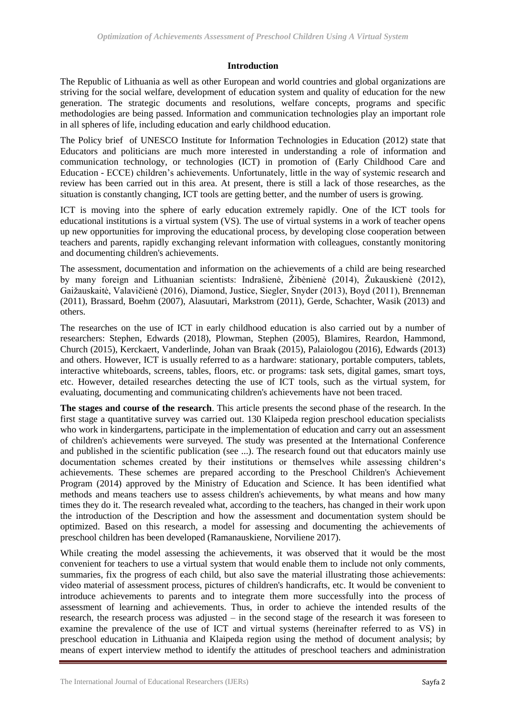### **Introduction**

The Republic of Lithuania as well as other European and world countries and global organizations are striving for the social welfare, development of education system and quality of education for the new generation. The strategic documents and resolutions, welfare concepts, programs and specific methodologies are being passed. Information and communication technologies play an important role in all spheres of life, including education and early childhood education.

The Policy brief of UNESCO Institute for Information Technologies in Education (2012) state that Educators and politicians are much more interested in understanding a role of information and communication technology, or technologies (ICT) in promotion of (Early Childhood Care and Education - ECCE) children's achievements. Unfortunately, little in the way of systemic research and review has been carried out in this area. At present, there is still a lack of those researches, as the situation is constantly changing, ICT tools are getting better, and the number of users is growing.

ICT is moving into the sphere of early education extremely rapidly. One of the ICT tools for educational institutions is a virtual system (VS). The use of virtual systems in a work of teacher opens up new opportunities for improving the educational process, by developing close cooperation between teachers and parents, rapidly exchanging relevant information with colleagues, constantly monitoring and documenting children's achievements.

The assessment, documentation and information on the achievements of a child are being researched by many foreign and Lithuanian scientists: Indrašienė, Žibėnienė (2014), Žukauskienė (2012), Gaižauskaitė, Valavičienė (2016), Diamond, Justice, Siegler, Snyder (2013), Boyd (2011), Brenneman (2011), Brassard, Boehm (2007), Alasuutari, Markstrom (2011), Gerde, Schachter, Wasik (2013) and others.

The researches on the use of ICT in early childhood education is also carried out by a number of researchers: Stephen, Edwards (2018), Plowman, Stephen (2005), Blamires, Reardon, Hammond, Church (2015), Kerckaert, Vanderlinde, Johan van Braak (2015), Palaiologou (2016), Edwards (2013) and others. However, ICT is usually referred to as a hardware: stationary, portable computers, tablets, interactive whiteboards, screens, tables, floors, etc. or programs: task sets, digital games, smart toys, etc. However, detailed researches detecting the use of ICT tools, such as the virtual system, for evaluating, documenting and communicating children's achievements have not been traced.

**The stages and course of the research**. This article presents the second phase of the research. In the first stage a quantitative survey was carried out. 130 Klaipeda region preschool education specialists who work in kindergartens, participate in the implementation of education and carry out an assessment of children's achievements were surveyed. The study was presented at the International Conference and published in the scientific publication (see ...). The research found out that educators mainly use documentation schemes created by their institutions or themselves while assessing children's achievements. These schemes are prepared according to the Preschool Children's Achievement Program (2014) approved by the Ministry of Education and Science. It has been identified what methods and means teachers use to assess children's achievements, by what means and how many times they do it. The research revealed what, according to the teachers, has changed in their work upon the introduction of the Description and how the assessment and documentation system should be optimized. Based on this research, a model for assessing and documenting the achievements of preschool children has been developed (Ramanauskiene, Norviliene 2017).

While creating the model assessing the achievements, it was observed that it would be the most convenient for teachers to use a virtual system that would enable them to include not only comments, summaries, fix the progress of each child, but also save the material illustrating those achievements: video material of assessment process, pictures of children's handicrafts, etc. It would be convenient to introduce achievements to parents and to integrate them more successfully into the process of assessment of learning and achievements. Thus, in order to achieve the intended results of the research, the research process was adjusted – in the second stage of the research it was foreseen to examine the prevalence of the use of ICT and virtual systems (hereinafter referred to as VS) in preschool education in Lithuania and Klaipeda region using the method of document analysis; by means of expert interview method to identify the attitudes of preschool teachers and administration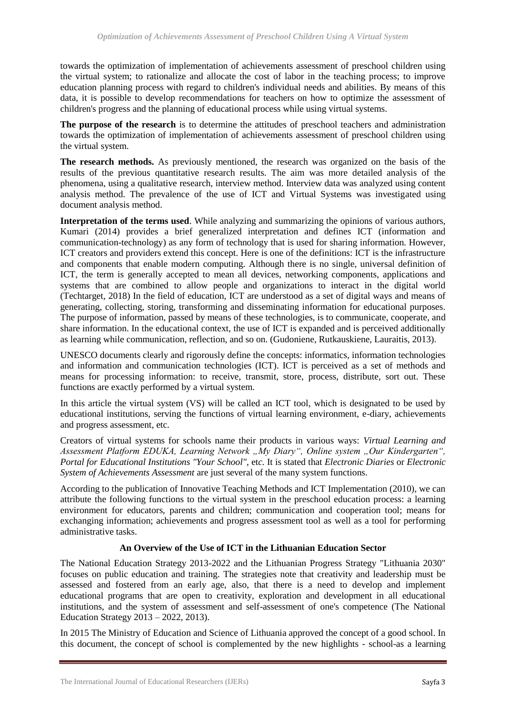towards the optimization of implementation of achievements assessment of preschool children using the virtual system; to rationalize and allocate the cost of labor in the teaching process; to improve education planning process with regard to children's individual needs and abilities. By means of this data, it is possible to develop recommendations for teachers on how to optimize the assessment of children's progress and the planning of educational process while using virtual systems.

**The purpose of the research** is to determine the attitudes of preschool teachers and administration towards the optimization of implementation of achievements assessment of preschool children using the virtual system.

**The research methods.** As previously mentioned, the research was organized on the basis of the results of the previous quantitative research results. The aim was more detailed analysis of the phenomena, using a qualitative research, interview method. Interview data was analyzed using content analysis method. The prevalence of the use of ICT and Virtual Systems was investigated using document analysis method.

**Interpretation of the terms used**. While analyzing and summarizing the opinions of various authors, Kumari (2014) provides a brief generalized interpretation and defines ICT (information and communication-technology) as any form of technology that is used for sharing information. However, ICT creators and providers extend this concept. Here is one of the definitions: ICT is the infrastructure and components that enable modern computing. Although there is no single, universal definition of ICT, the term is generally accepted to mean all devices, networking components, applications and systems that are combined to allow people and organizations to interact in the digital world (Techtarget, 2018) In the field of education, ICT are understood as a set of digital ways and means of generating, collecting, storing, transforming and disseminating information for educational purposes. The purpose of information, passed by means of these technologies, is to communicate, cooperate, and share information. In the educational context, the use of ICT is expanded and is perceived additionally as learning while communication, reflection, and so on. (Gudoniene, Rutkauskiene, Lauraitis, 2013).

UNESCO documents clearly and rigorously define the concepts: informatics, information technologies and information and communication technologies (ICT). ICT is perceived as a set of methods and means for processing information: to receive, transmit, store, process, distribute, sort out. These functions are exactly performed by a virtual system.

In this article the virtual system (VS) will be called an ICT tool, which is designated to be used by educational institutions, serving the functions of virtual learning environment, e-diary, achievements and progress assessment, etc.

Creators of virtual systems for schools name their products in various ways: *Virtual Learning and*  Assessment Platform EDUKA, Learning Network "My Diary", Online system "Our Kindergarten", *Portal for Educational Institutions "Your School",* et*c.* It is stated that *Electronic Diaries* or *Electronic System of Achievements Assessment* are just several of the many system functions.

According to the publication of Innovative Teaching Methods and ICT Implementation (2010), we can attribute the following functions to the virtual system in the preschool education process: a learning environment for educators, parents and children; communication and cooperation tool; means for exchanging information; achievements and progress assessment tool as well as a tool for performing administrative tasks.

# **An Overview of the Use of ICT in the Lithuanian Education Sector**

The National Education Strategy 2013-2022 and the Lithuanian Progress Strategy "Lithuania 2030" focuses on public education and training. The strategies note that creativity and leadership must be assessed and fostered from an early age, also, that there is a need to develop and implement educational programs that are open to creativity, exploration and development in all educational institutions, and the system of assessment and self-assessment of one's competence (The National Education Strategy 2013 – 2022, 2013).

In 2015 The Ministry of Education and Science of Lithuania approved the concept of a good school. In this document, the concept of school is complemented by the new highlights - school-as a learning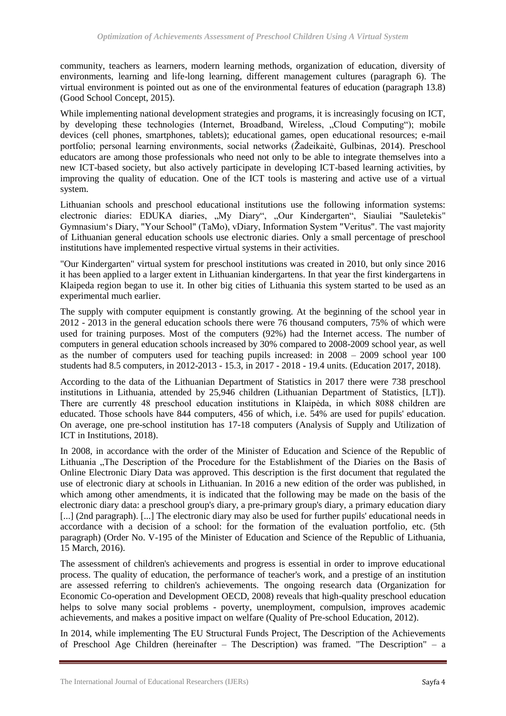community, teachers as learners, modern learning methods, organization of education, diversity of environments, learning and life-long learning, different management cultures (paragraph 6). The virtual environment is pointed out as one of the environmental features of education (paragraph 13.8) (Good School Concept, 2015).

While implementing national development strategies and programs, it is increasingly focusing on ICT, by developing these technologies (Internet, Broadband, Wireless, "Cloud Computing"); mobile devices (cell phones, smartphones, tablets); educational games, open educational resources; e-mail portfolio; personal learning environments, social networks (Žadeikaitė, Gulbinas, 2014). Preschool educators are among those professionals who need not only to be able to integrate themselves into a new ICT-based society, but also actively participate in developing ICT-based learning activities, by improving the quality of education. One of the ICT tools is mastering and active use of a virtual system.

Lithuanian schools and preschool educational institutions use the following information systems: electronic diaries: EDUKA diaries, "My Diary", "Our Kindergarten", Siauliai "Sauletekis" Gymnasium's Diary, "Your School" (TaMo), vDiary, Information System "Veritus". The vast majority of Lithuanian general education schools use electronic diaries. Only a small percentage of preschool institutions have implemented respective virtual systems in their activities.

"Our Kindergarten" virtual system for preschool institutions was created in 2010, but only since 2016 it has been applied to a larger extent in Lithuanian kindergartens. In that year the first kindergartens in Klaipeda region began to use it. In other big cities of Lithuania this system started to be used as an experimental much earlier.

The supply with computer equipment is constantly growing. At the beginning of the school year in 2012 - 2013 in the general education schools there were 76 thousand computers, 75% of which were used for training purposes. Most of the computers (92%) had the Internet access. The number of computers in general education schools increased by 30% compared to 2008-2009 school year, as well as the number of computers used for teaching pupils increased: in 2008 – 2009 school year 100 students had 8.5 computers, in 2012-2013 - 15.3, in 2017 - 2018 - 19.4 units. (Education 2017, 2018).

According to the data of the Lithuanian Department of Statistics in 2017 there were 738 preschool institutions in Lithuania, attended by 25,946 children (Lithuanian Department of Statistics, [LT]). There are currently 48 preschool education institutions in Klaipėda, in which 8088 children are educated. Those schools have 844 computers, 456 of which, i.e. 54% are used for pupils' education. On average, one pre-school institution has 17-18 computers (Analysis of Supply and Utilization of ICT in Institutions, 2018).

In 2008, in accordance with the order of the Minister of Education and Science of the Republic of Lithuania "The Description of the Procedure for the Establishment of the Diaries on the Basis of Online Electronic Diary Data was approved. This description is the first document that regulated the use of electronic diary at schools in Lithuanian. In 2016 a new edition of the order was published, in which among other amendments, it is indicated that the following may be made on the basis of the electronic diary data: a preschool group's diary, a pre-primary group's diary, a primary education diary [...] (2nd paragraph). [...] The electronic diary may also be used for further pupils' educational needs in accordance with a decision of a school: for the formation of the evaluation portfolio, etc. (5th paragraph) (Order No. V-195 of the Minister of Education and Science of the Republic of Lithuania, 15 March, 2016).

The assessment of children's achievements and progress is essential in order to improve educational process. The quality of education, the performance of teacher's work, and a prestige of an institution are assessed referring to children's achievements. The ongoing research data (Organization for Economic Co-operation and Development OECD, 2008) reveals that high-quality preschool education helps to solve many social problems - poverty, unemployment, compulsion, improves academic achievements, and makes a positive impact on welfare (Quality of Pre-school Education, 2012).

In 2014, while implementing The EU Structural Funds Project, The Description of the Achievements of Preschool Age Children (hereinafter – The Description) was framed. "The Description" – a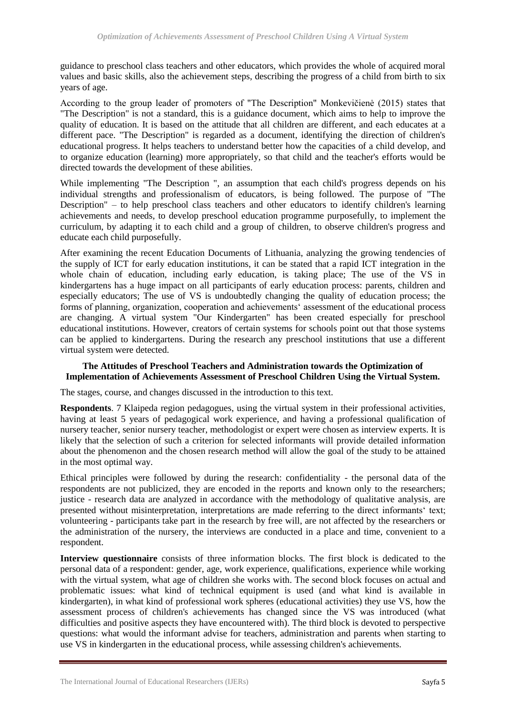guidance to preschool class teachers and other educators, which provides the whole of acquired moral values and basic skills, also the achievement steps, describing the progress of a child from birth to six years of age.

According to the group leader of promoters of "The Description" Monkevičienė (2015) states that "The Description" is not a standard, this is a guidance document, which aims to help to improve the quality of education. It is based on the attitude that all children are different, and each educates at a different pace. "The Description" is regarded as a document, identifying the direction of children's educational progress. It helps teachers to understand better how the capacities of a child develop, and to organize education (learning) more appropriately, so that child and the teacher's efforts would be directed towards the development of these abilities.

While implementing "The Description ", an assumption that each child's progress depends on his individual strengths and professionalism of educators, is being followed. The purpose of "The Description" – to help preschool class teachers and other educators to identify children's learning achievements and needs, to develop preschool education programme purposefully, to implement the curriculum, by adapting it to each child and a group of children, to observe children's progress and educate each child purposefully.

After examining the recent Education Documents of Lithuania, analyzing the growing tendencies of the supply of ICT for early education institutions, it can be stated that a rapid ICT integration in the whole chain of education, including early education, is taking place; The use of the VS in kindergartens has a huge impact on all participants of early education process: parents, children and especially educators; The use of VS is undoubtedly changing the quality of education process; the forms of planning, organization, cooperation and achievements' assessment of the educational process are changing. A virtual system "Our Kindergarten" has been created especially for preschool educational institutions. However, creators of certain systems for schools point out that those systems can be applied to kindergartens. During the research any preschool institutions that use a different virtual system were detected.

## **The Attitudes of Preschool Teachers and Administration towards the Optimization of Implementation of Achievements Assessment of Preschool Children Using the Virtual System.**

The stages, course, and changes discussed in the introduction to this text.

**Respondents**. 7 Klaipeda region pedagogues, using the virtual system in their professional activities, having at least 5 years of pedagogical work experience, and having a professional qualification of nursery teacher, senior nursery teacher, methodologist or expert were chosen as interview experts. It is likely that the selection of such a criterion for selected informants will provide detailed information about the phenomenon and the chosen research method will allow the goal of the study to be attained in the most optimal way.

Ethical principles were followed by during the research: confidentiality - the personal data of the respondents are not publicized, they are encoded in the reports and known only to the researchers; justice - research data are analyzed in accordance with the methodology of qualitative analysis, are presented without misinterpretation, interpretations are made referring to the direct informants' text; volunteering - participants take part in the research by free will, are not affected by the researchers or the administration of the nursery, the interviews are conducted in a place and time, convenient to a respondent.

**Interview questionnaire** consists of three information blocks. The first block is dedicated to the personal data of a respondent: gender, age, work experience, qualifications, experience while working with the virtual system, what age of children she works with. The second block focuses on actual and problematic issues: what kind of technical equipment is used (and what kind is available in kindergarten), in what kind of professional work spheres (educational activities) they use VS, how the assessment process of children's achievements has changed since the VS was introduced (what difficulties and positive aspects they have encountered with). The third block is devoted to perspective questions: what would the informant advise for teachers, administration and parents when starting to use VS in kindergarten in the educational process, while assessing children's achievements.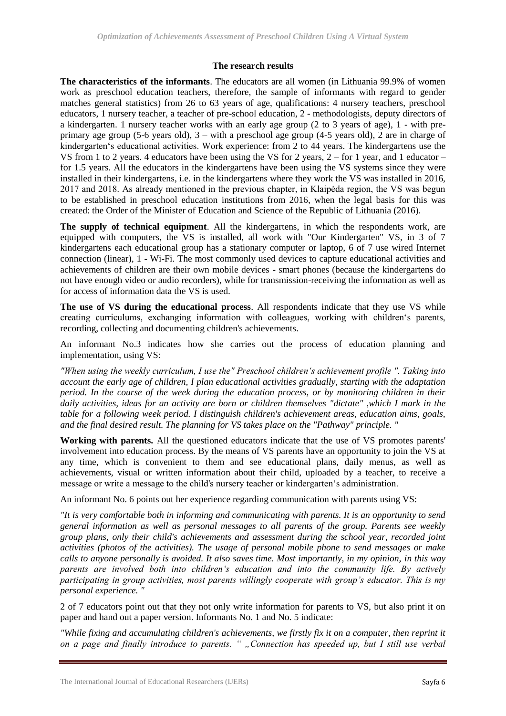#### **The research results**

**The characteristics of the informants**. The educators are all women (in Lithuania 99.9% of women work as preschool education teachers, therefore, the sample of informants with regard to gender matches general statistics) from 26 to 63 years of age, qualifications: 4 nursery teachers, preschool educators, 1 nursery teacher, a teacher of pre-school education, 2 - methodologists, deputy directors of a kindergarten. 1 nursery teacher works with an early age group (2 to 3 years of age), 1 - with preprimary age group (5-6 years old), 3 – with a preschool age group (4-5 years old), 2 are in charge of kindergarten's educational activities. Work experience: from 2 to 44 years. The kindergartens use the VS from 1 to 2 years. 4 educators have been using the VS for 2 years,  $2 -$  for 1 year, and 1 educator – for 1.5 years. All the educators in the kindergartens have been using the VS systems since they were installed in their kindergartens, i.e. in the kindergartens where they work the VS was installed in 2016, 2017 and 2018. As already mentioned in the previous chapter, in Klaipėda region, the VS was begun to be established in preschool education institutions from 2016, when the legal basis for this was created: the Order of the Minister of Education and Science of the Republic of Lithuania (2016).

**The supply of technical equipment**. All the kindergartens, in which the respondents work, are equipped with computers, the VS is installed, all work with "Our Kindergarten" VS, in 3 of 7 kindergartens each educational group has a stationary computer or laptop, 6 of 7 use wired Internet connection (linear), 1 - Wi-Fi. The most commonly used devices to capture educational activities and achievements of children are their own mobile devices - smart phones (because the kindergartens do not have enough video or audio recorders), while for transmission-receiving the information as well as for access of information data the VS is used.

**The use of VS during the educational process**. All respondents indicate that they use VS while creating curriculums, exchanging information with colleagues, working with children's parents, recording, collecting and documenting children's achievements.

An informant No.3 indicates how she carries out the process of education planning and implementation, using VS:

*"When using the weekly curriculum, I use the" Preschool children's achievement profile ". Taking into account the early age of children, I plan educational activities gradually, starting with the adaptation period. In the course of the week during the education process, or by monitoring children in their daily activities, ideas for an activity are born or children themselves "dictate" ,which I mark in the table for a following week period. I distinguish children's achievement areas, education aims, goals, and the final desired result. The planning for VS takes place on the "Pathway" principle. "*

**Working with parents.** All the questioned educators indicate that the use of VS promotes parents' involvement into education process. By the means of VS parents have an opportunity to join the VS at any time, which is convenient to them and see educational plans, daily menus, as well as achievements, visual or written information about their child, uploaded by a teacher, to receive a message or write a message to the child's nursery teacher or kindergarten's administration.

An informant No. 6 points out her experience regarding communication with parents using VS:

*"It is very comfortable both in informing and communicating with parents. It is an opportunity to send general information as well as personal messages to all parents of the group. Parents see weekly group plans, only their child's achievements and assessment during the school year, recorded joint activities (photos of the activities). The usage of personal mobile phone to send messages or make calls to anyone personally is avoided. It also saves time. Most importantly, in my opinion, in this way parents are involved both into children's education and into the community life. By actively participating in group activities, most parents willingly cooperate with group's educator. This is my personal experience. "*

2 of 7 educators point out that they not only write information for parents to VS, but also print it on paper and hand out a paper version. Informants No. 1 and No. 5 indicate:

*"While fixing and accumulating children's achievements, we firstly fix it on a computer, then reprint it on a page and finally introduce to parents. " "Connection has speeded up, but I still use verbal*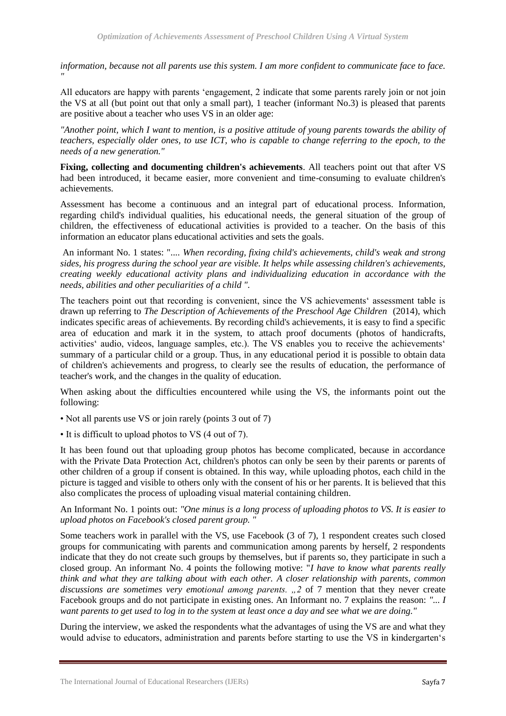*information, because not all parents use this system. I am more confident to communicate face to face. "* 

All educators are happy with parents 'engagement, 2 indicate that some parents rarely join or not join the VS at all (but point out that only a small part), 1 teacher (informant No.3) is pleased that parents are positive about a teacher who uses VS in an older age:

*"Another point, which I want to mention, is a positive attitude of young parents towards the ability of teachers, especially older ones, to use ICT, who is capable to change referring to the epoch, to the needs of a new generation."*

**Fixing, collecting and documenting children's achievements**. All teachers point out that after VS had been introduced, it became easier, more convenient and time-consuming to evaluate children's achievements.

Assessment has become a continuous and an integral part of educational process. Information, regarding child's individual qualities, his educational needs, the general situation of the group of children, the effectiveness of educational activities is provided to a teacher. On the basis of this information an educator plans educational activities and sets the goals.

An informant No. 1 states: ".... *When recording, fixing child's achievements, child's weak and strong sides, his progress during the school year are visible. It helps while assessing children's achievements, creating weekly educational activity plans and individualizing education in accordance with the needs, abilities and other peculiarities of a child ".* 

The teachers point out that recording is convenient, since the VS achievements' assessment table is drawn up referring to *The Description of Achievements of the Preschool Age Children* (2014), which indicates specific areas of achievements. By recording child's achievements, it is easy to find a specific area of education and mark it in the system, to attach proof documents (photos of handicrafts, activities' audio, videos, language samples, etc.). The VS enables you to receive the achievements' summary of a particular child or a group. Thus, in any educational period it is possible to obtain data of children's achievements and progress, to clearly see the results of education, the performance of teacher's work, and the changes in the quality of education.

When asking about the difficulties encountered while using the VS, the informants point out the following:

• Not all parents use VS or join rarely (points 3 out of 7)

• It is difficult to upload photos to VS (4 out of 7).

It has been found out that uploading group photos has become complicated, because in accordance with the Private Data Protection Act, children's photos can only be seen by their parents or parents of other children of a group if consent is obtained. In this way, while uploading photos, each child in the picture is tagged and visible to others only with the consent of his or her parents. It is believed that this also complicates the process of uploading visual material containing children.

An Informant No. 1 points out: *"One minus is a long process of uploading photos to VS. It is easier to upload photos on Facebook's closed parent group. "*

Some teachers work in parallel with the VS, use Facebook (3 of 7), 1 respondent creates such closed groups for communicating with parents and communication among parents by herself, 2 respondents indicate that they do not create such groups by themselves, but if parents so, they participate in such a closed group. An informant No. 4 points the following motive: "*I have to know what parents really think and what they are talking about with each other. A closer relationship with parents, common*  discussions are sometimes very emotional among parents. ", 2 of 7 mention that they never create Facebook groups and do not participate in existing ones. An Informant no. 7 explains the reason: *"... I want parents to get used to log in to the system at least once a day and see what we are doing."*

During the interview, we asked the respondents what the advantages of using the VS are and what they would advise to educators, administration and parents before starting to use the VS in kindergarten's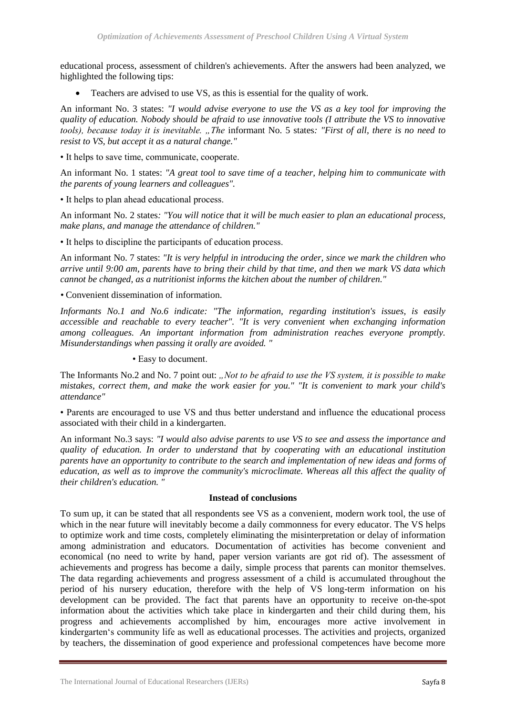educational process, assessment of children's achievements. After the answers had been analyzed, we highlighted the following tips:

Teachers are advised to use VS, as this is essential for the quality of work.

An informant No. 3 states: *"I would advise everyone to use the VS as a key tool for improving the quality of education. Nobody should be afraid to use innovative tools (I attribute the VS to innovative tools), because today it is inevitable. "The* informant No. 5 states*: "First of all, there is no need to resist to VS, but accept it as a natural change."* 

• It helps to save time, communicate, cooperate.

An informant No. 1 states: *"A great tool to save time of a teacher, helping him to communicate with the parents of young learners and colleagues".*

• It helps to plan ahead educational process.

An informant No. 2 states*: "You will notice that it will be much easier to plan an educational process, make plans, and manage the attendance of children."*

• It helps to discipline the participants of education process.

An informant No. 7 states: *"It is very helpful in introducing the order, since we mark the children who arrive until 9:00 am, parents have to bring their child by that time, and then we mark VS data which cannot be changed, as a nutritionist informs the kitchen about the number of children."*

*•* Convenient dissemination of information.

*Informants No.1 and No.6 indicate: "The information, regarding institution's issues, is easily accessible and reachable to every teacher". "It is very convenient when exchanging information among colleagues. An important information from administration reaches everyone promptly. Misunderstandings when passing it orally are avoided. "*

• Easy to document.

The Informants No.2 and No. 7 point out: *"Not to be afraid to use the VS system, it is possible to make mistakes, correct them, and make the work easier for you." "It is convenient to mark your child's attendance"*

• Parents are encouraged to use VS and thus better understand and influence the educational process associated with their child in a kindergarten.

An informant No.3 says: *"I would also advise parents to use VS to see and assess the importance and quality of education. In order to understand that by cooperating with an educational institution parents have an opportunity to contribute to the search and implementation of new ideas and forms of education, as well as to improve the community's microclimate. Whereas all this affect the quality of their children's education. "*

# **Instead of conclusions**

To sum up, it can be stated that all respondents see VS as a convenient, modern work tool, the use of which in the near future will inevitably become a daily commonness for every educator. The VS helps to optimize work and time costs, completely eliminating the misinterpretation or delay of information among administration and educators. Documentation of activities has become convenient and economical (no need to write by hand, paper version variants are got rid of). The assessment of achievements and progress has become a daily, simple process that parents can monitor themselves. The data regarding achievements and progress assessment of a child is accumulated throughout the period of his nursery education, therefore with the help of VS long-term information on his development can be provided. The fact that parents have an opportunity to receive on-the-spot information about the activities which take place in kindergarten and their child during them, his progress and achievements accomplished by him, encourages more active involvement in kindergarten's community life as well as educational processes. The activities and projects, organized by teachers, the dissemination of good experience and professional competences have become more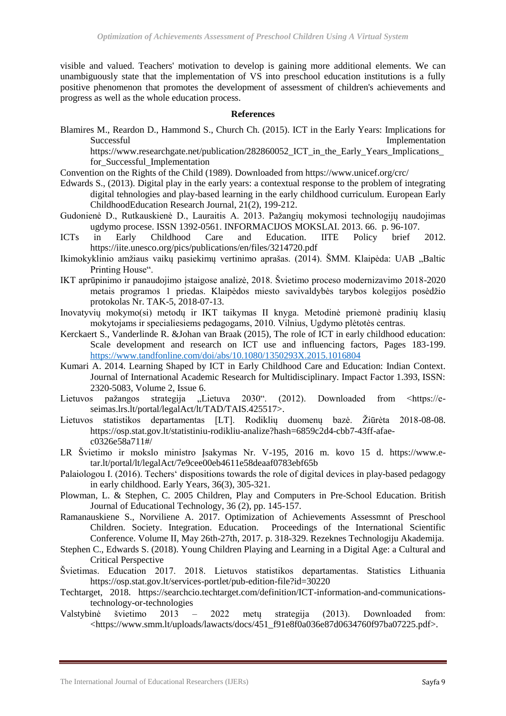visible and valued. Teachers' motivation to develop is gaining more additional elements. We can unambiguously state that the implementation of VS into preschool education institutions is a fully positive phenomenon that promotes the development of assessment of children's achievements and progress as well as the whole education process.

#### **References**

Blamires M., Reardon D., Hammond S., Church Ch. (2015). ICT in the Early Years: Implications for Successful Implementation https://www.researchgate.net/publication/282860052\_ICT\_in\_the\_Early\_Years\_Implications\_

for Successful Implementation

Convention on the Rights of the Child (1989). Downloaded from https://www.unicef.org/crc/

- Edwards S., (2013). Digital play in the early years: a contextual response to the problem of integrating digital tehnologies and play-based learning in the early childhood curriculum. European Early ChildhoodEducation Research Journal, 21(2), 199-212.
- Gudonienė D., Rutkauskienė D., Lauraitis A. 2013. Pažangių mokymosi technologijų naudojimas ugdymo procese. ISSN 1392-0561. INFORMACIJOS MOKSLAI. 2013. 66. p. 96-107.
- ICTs in Early Childhood Care and Education. IITE Policy brief 2012. https://iite.unesco.org/pics/publications/en/files/3214720.pdf
- Ikimokyklinio amžiaus vaikų pasiekimų vertinimo aprašas. (2014). ŠMM. Klaipėda: UAB "Baltic Printing House".
- IKT aprūpinimo ir panaudojimo įstaigose analizė, 2018. Švietimo proceso modernizavimo 2018-2020 metais programos 1 priedas. Klaipėdos miesto savivaldybės tarybos kolegijos posėdžio protokolas Nr. TAK-5, 2018-07-13.
- Inovatyvių mokymo(si) metodų ir IKT taikymas II knyga. Metodinė priemonė pradinių klasių mokytojams ir specialiesiems pedagogams, 2010. Vilnius, Ugdymo plėtotės centras.
- Kerckaert S., Vanderlinde R. &Johan van Braak (2015), The role of ICT in early childhood education: Scale development and research on ICT use and influencing factors, Pages 183-199. <https://www.tandfonline.com/doi/abs/10.1080/1350293X.2015.1016804>
- Kumari A. 2014. Learning Shaped by ICT in Early Childhood Care and Education: Indian Context. Journal of International Academic Research for Multidisciplinary. Impact Factor 1.393, ISSN: 2320-5083, Volume 2, Issue 6.
- Lietuvos pažangos strategija "Lietuva 2030". (2012). Downloaded from <https://eseimas.lrs.lt/portal/legalAct/lt/TAD/TAIS.425517>.
- Lietuvos statistikos departamentas [LT]. Rodiklių duomenų bazė. Žiūrėta 2018-08-08. https://osp.stat.gov.lt/statistiniu-rodikliu-analize?hash=6859c2d4-cbb7-43ff-afaec0326e58a711#/
- LR Švietimo ir mokslo ministro Įsakymas Nr. V-195, 2016 m. kovo 15 d. https://www.etar.lt/portal/lt/legalAct/7e9cee00eb4611e58deaaf0783ebf65b
- Palaiologou I. (2016). Techers' dispositions towards the role of digital devices in play-based pedagogy in early childhood. Early Years, 36(3), 305-321.
- Plowman, L. & Stephen, C. 2005 Children, Play and Computers in Pre-School Education. British Journal of Educational Technology, 36 (2), pp. 145-157.
- Ramanauskiene S., Norviliene A. 2017. Optimization of Achievements Assessmnt of Preschool Children. Society. Integration. Education. Proceedings of the International Scientific Conference. Volume II, May 26th-27th, 2017. p. 318-329. Rezeknes Technologiju Akademija.
- Stephen C., Edwards S. (2018). Young Children Playing and Learning in a Digital Age: a Cultural and Critical Perspective
- Švietimas. Education 2017. 2018. Lietuvos statistikos departamentas. Statistics Lithuania https://osp.stat.gov.lt/services-portlet/pub-edition-file?id=30220
- Techtarget, 2018. [https://searchcio.techtarget.com/definition/ICT-information-and-communications](https://searchcio.techtarget.com/definition/ICT-information-and-communications-technology-or-technologies)[technology-or-technologies](https://searchcio.techtarget.com/definition/ICT-information-and-communications-technology-or-technologies)
- Valstybinė švietimo 2013 2022 metų strategija (2013). Downloaded from: <https://www.smm.lt/uploads/lawacts/docs/451\_f91e8f0a036e87d0634760f97ba07225.pdf>.